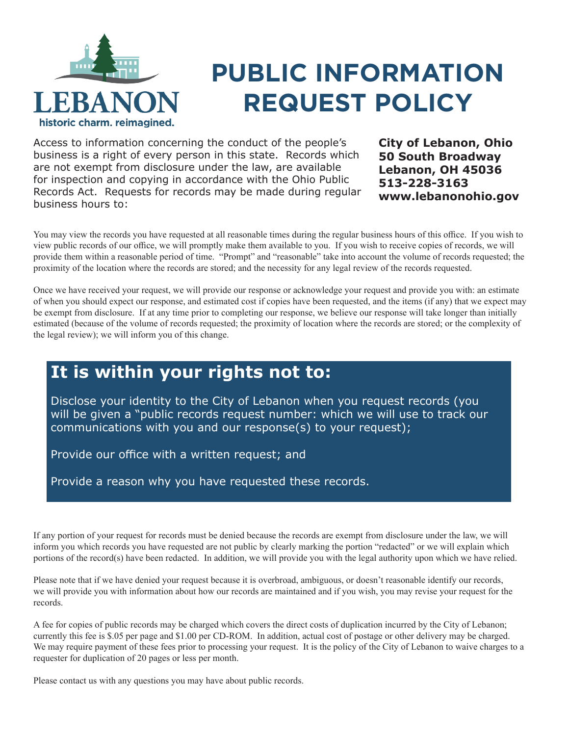

## **PUBLIC INFORMATION REQUEST POLICY**

Access to information concerning the conduct of the people's business is a right of every person in this state. Records which are not exempt from disclosure under the law, are available for inspection and copying in accordance with the Ohio Public Records Act. Requests for records may be made during regular business hours to:

**City of Lebanon, Ohio 50 South Broadway Lebanon, OH 45036 513-228-3163 www.lebanonohio.gov**

You may view the records you have requested at all reasonable times during the regular business hours of this office. If you wish to view public records of our office, we will promptly make them available to you. If you wish to receive copies of records, we will provide them within a reasonable period of time. "Prompt" and "reasonable" take into account the volume of records requested; the proximity of the location where the records are stored; and the necessity for any legal review of the records requested.

Once we have received your request, we will provide our response or acknowledge your request and provide you with: an estimate of when you should expect our response, and estimated cost if copies have been requested, and the items (if any) that we expect may be exempt from disclosure. If at any time prior to completing our response, we believe our response will take longer than initially estimated (because of the volume of records requested; the proximity of location where the records are stored; or the complexity of the legal review); we will inform you of this change.

## **It is within your rights not to:**

Disclose your identity to the City of Lebanon when you request records (you will be given a "public records request number: which we will use to track our communications with you and our response(s) to your request);

Provide our office with a written request; and

Provide a reason why you have requested these records.

If any portion of your request for records must be denied because the records are exempt from disclosure under the law, we will inform you which records you have requested are not public by clearly marking the portion "redacted" or we will explain which portions of the record(s) have been redacted. In addition, we will provide you with the legal authority upon which we have relied.

Please note that if we have denied your request because it is overbroad, ambiguous, or doesn't reasonable identify our records, we will provide you with information about how our records are maintained and if you wish, you may revise your request for the records.

A fee for copies of public records may be charged which covers the direct costs of duplication incurred by the City of Lebanon; currently this fee is \$.05 per page and \$1.00 per CD-ROM. In addition, actual cost of postage or other delivery may be charged. We may require payment of these fees prior to processing your request. It is the policy of the City of Lebanon to waive charges to a requester for duplication of 20 pages or less per month.

Please contact us with any questions you may have about public records.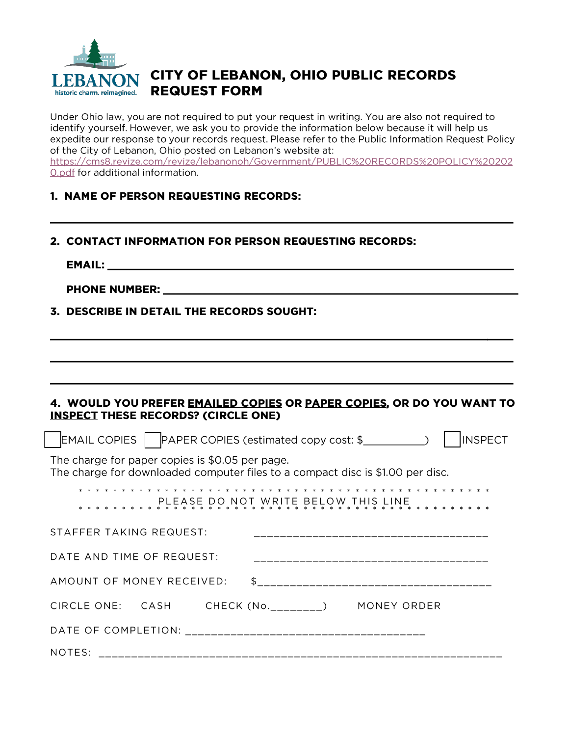

## CITY OF LEBANON, OHIO PUBLIC RECORDS **REQUEST FORM**

Under Ohio law, you are not required to put your request in writing. You are also not required to identify yourself. However, we ask you to provide the information below because it will help us expedite our response to your records request. Please refer to the Public Information Request Policy of the City of Lebanon, Ohio posted on Lebanon's website at: https://cms8.revize.com/revize/lebanonoh/Government/PUBLIC%20RECORDS%20POLICY%20202 0.pdf for additional information.

## 1. NAME OF PERSON REQUESTING RECORDS:

- 2. CONTACT INFORMATION FOR PERSON REQUESTING RECORDS:
	- **EMAIL:**

PHONE NUMBER: University of the contract of the contract of the contract of the contract of the contract of the contract of the contract of the contract of the contract of the contract of the contract of the contract of th

3. DESCRIBE IN DETAIL THE RECORDS SOUGHT:

| 4. WOULD YOU PREFER EMAILED COPIES OR PAPER COPIES, OR DO YOU WANT TO<br><b>INSPECT THESE RECORDS? (CIRCLE ONE)</b>               |
|-----------------------------------------------------------------------------------------------------------------------------------|
| $\mathsf{EMAIL}$ COPIES $\mathsf{NPER}$ COPIES (estimated copy cost: \$<br><b>INSPECT</b>                                         |
| The charge for paper copies is \$0.05 per page.<br>The charge for downloaded computer files to a compact disc is \$1.00 per disc. |
|                                                                                                                                   |
| STAFFER TAKING REQUEST:<br>-------------------------------                                                                        |
| DATE AND TIME OF REQUEST:                                                                                                         |
|                                                                                                                                   |
| CIRCLE ONE: CASH CHECK (No.________) MONEY ORDER                                                                                  |
|                                                                                                                                   |
| NOTES:                                                                                                                            |